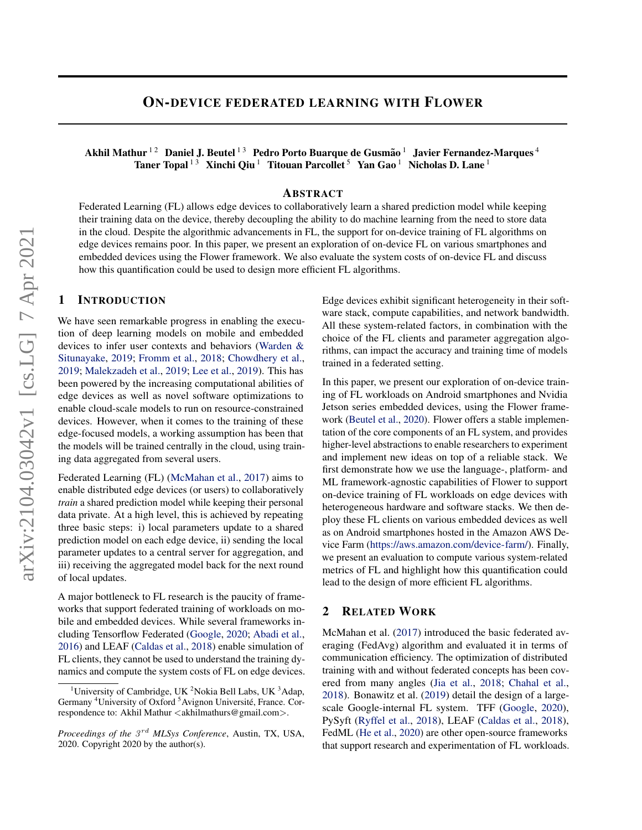# ON-DEVICE FEDERATED LEARNING WITH FLOWER

Akhil Mathur  $^{12}$  Daniel J. Beutel  $^{13}$  Pedro Porto Buarque de Gusmão  $^1$  Javier Fernandez-Marques  $^4$ Taner Topal<sup>13</sup> Xinchi Qiu<sup>1</sup> Titouan Parcollet<sup>5</sup> Yan Gao<sup>1</sup> Nicholas D. Lane<sup>1</sup>

### ABSTRACT

Federated Learning (FL) allows edge devices to collaboratively learn a shared prediction model while keeping their training data on the device, thereby decoupling the ability to do machine learning from the need to store data in the cloud. Despite the algorithmic advancements in FL, the support for on-device training of FL algorithms on edge devices remains poor. In this paper, we present an exploration of on-device FL on various smartphones and embedded devices using the Flower framework. We also evaluate the system costs of on-device FL and discuss how this quantification could be used to design more efficient FL algorithms.

# 1 INTRODUCTION

We have seen remarkable progress in enabling the execution of deep learning models on mobile and embedded devices to infer user contexts and behaviors [\(Warden &](#page-4-0) [Situnayake,](#page-4-0) [2019;](#page-4-0) [Fromm et al.,](#page-4-0) [2018;](#page-4-0) [Chowdhery et al.,](#page-4-0) [2019;](#page-4-0) [Malekzadeh et al.,](#page-4-0) [2019;](#page-4-0) [Lee et al.,](#page-4-0) [2019\)](#page-4-0). This has been powered by the increasing computational abilities of edge devices as well as novel software optimizations to enable cloud-scale models to run on resource-constrained devices. However, when it comes to the training of these edge-focused models, a working assumption has been that the models will be trained centrally in the cloud, using training data aggregated from several users.

Federated Learning (FL) [\(McMahan et al.,](#page-4-0) [2017\)](#page-4-0) aims to enable distributed edge devices (or users) to collaboratively *train* a shared prediction model while keeping their personal data private. At a high level, this is achieved by repeating three basic steps: i) local parameters update to a shared prediction model on each edge device, ii) sending the local parameter updates to a central server for aggregation, and iii) receiving the aggregated model back for the next round of local updates.

A major bottleneck to FL research is the paucity of frameworks that support federated training of workloads on mobile and embedded devices. While several frameworks including Tensorflow Federated [\(Google,](#page-4-0) [2020;](#page-4-0) [Abadi et al.,](#page-4-0) [2016\)](#page-4-0) and LEAF [\(Caldas et al.,](#page-4-0) [2018\)](#page-4-0) enable simulation of FL clients, they cannot be used to understand the training dynamics and compute the system costs of FL on edge devices. Edge devices exhibit significant heterogeneity in their software stack, compute capabilities, and network bandwidth. All these system-related factors, in combination with the choice of the FL clients and parameter aggregation algorithms, can impact the accuracy and training time of models trained in a federated setting.

In this paper, we present our exploration of on-device training of FL workloads on Android smartphones and Nvidia Jetson series embedded devices, using the Flower framework [\(Beutel et al.,](#page-4-0) [2020\)](#page-4-0). Flower offers a stable implementation of the core components of an FL system, and provides higher-level abstractions to enable researchers to experiment and implement new ideas on top of a reliable stack. We first demonstrate how we use the language-, platform- and ML framework-agnostic capabilities of Flower to support on-device training of FL workloads on edge devices with heterogeneous hardware and software stacks. We then deploy these FL clients on various embedded devices as well as on Android smartphones hosted in the Amazon AWS Device Farm [\(https://aws.amazon.com/device-farm/\)](https://aws.amazon.com/device-farm/). Finally, we present an evaluation to compute various system-related metrics of FL and highlight how this quantification could lead to the design of more efficient FL algorithms.

### 2 RELATED WORK

McMahan et al. [\(2017\)](#page-4-0) introduced the basic federated averaging (FedAvg) algorithm and evaluated it in terms of communication efficiency. The optimization of distributed training with and without federated concepts has been covered from many angles [\(Jia et al.,](#page-4-0) [2018;](#page-4-0) [Chahal et al.,](#page-4-0) [2018\)](#page-4-0). Bonawitz et al. [\(2019\)](#page-4-0) detail the design of a largescale Google-internal FL system. TFF [\(Google,](#page-4-0) [2020\)](#page-4-0), PySyft [\(Ryffel et al.,](#page-4-0) [2018\)](#page-4-0), LEAF [\(Caldas et al.,](#page-4-0) [2018\)](#page-4-0), FedML [\(He et al.,](#page-4-0) [2020\)](#page-4-0) are other open-source frameworks that support research and experimentation of FL workloads.

<sup>&</sup>lt;sup>1</sup>University of Cambridge, UK <sup>2</sup>Nokia Bell Labs, UK  $3$ Adap, Germany <sup>4</sup>University of Oxford <sup>5</sup>Avignon Université, France. Correspondence to: Akhil Mathur <akhilmathurs@gmail.com>.

Proceedings of the  $3^{rd}$  MLSys Conference, Austin, TX, USA, 2020. Copyright 2020 by the author(s).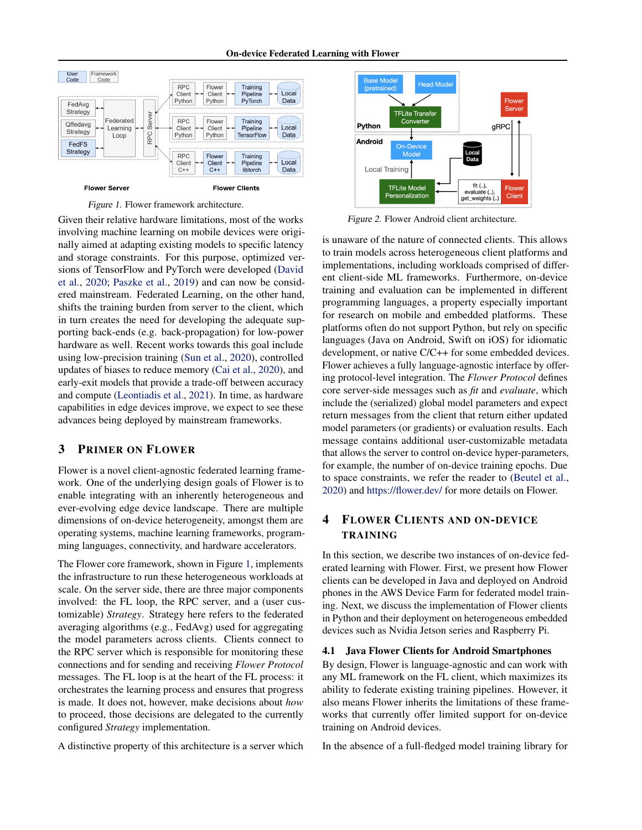

<span id="page-1-0"></span>

Figure 1. Flower framework architecture.

Given their relative hardware limitations, most of the works involving machine learning on mobile devices were originally aimed at adapting existing models to specific latency and storage constraints. For this purpose, optimized versions of TensorFlow and PyTorch were developed [\(David](#page-4-0) [et al.,](#page-4-0) [2020;](#page-4-0) [Paszke et al.,](#page-4-0) [2019\)](#page-4-0) and can now be considered mainstream. Federated Learning, on the other hand, shifts the training burden from server to the client, which in turn creates the need for developing the adequate supporting back-ends (e.g. back-propagation) for low-power hardware as well. Recent works towards this goal include using low-precision training [\(Sun et al.,](#page-4-0) [2020\)](#page-4-0), controlled updates of biases to reduce memory [\(Cai et al.,](#page-4-0) [2020\)](#page-4-0), and early-exit models that provide a trade-off between accuracy and compute [\(Leontiadis et al.,](#page-4-0) [2021\)](#page-4-0). In time, as hardware capabilities in edge devices improve, we expect to see these advances being deployed by mainstream frameworks.

# 3 PRIMER ON FLOWER

Flower is a novel client-agnostic federated learning framework. One of the underlying design goals of Flower is to enable integrating with an inherently heterogeneous and ever-evolving edge device landscape. There are multiple dimensions of on-device heterogeneity, amongst them are operating systems, machine learning frameworks, programming languages, connectivity, and hardware accelerators.

The Flower core framework, shown in Figure 1, implements the infrastructure to run these heterogeneous workloads at scale. On the server side, there are three major components involved: the FL loop, the RPC server, and a (user customizable) *Strategy*. Strategy here refers to the federated averaging algorithms (e.g., FedAvg) used for aggregating the model parameters across clients. Clients connect to the RPC server which is responsible for monitoring these connections and for sending and receiving *Flower Protocol* messages. The FL loop is at the heart of the FL process: it orchestrates the learning process and ensures that progress is made. It does not, however, make decisions about *how* to proceed, those decisions are delegated to the currently configured *Strategy* implementation.

A distinctive property of this architecture is a server which



Figure 2. Flower Android client architecture.

is unaware of the nature of connected clients. This allows to train models across heterogeneous client platforms and implementations, including workloads comprised of different client-side ML frameworks. Furthermore, on-device training and evaluation can be implemented in different programming languages, a property especially important for research on mobile and embedded platforms. These platforms often do not support Python, but rely on specific languages (Java on Android, Swift on iOS) for idiomatic development, or native C/C++ for some embedded devices. Flower achieves a fully language-agnostic interface by offering protocol-level integration. The *Flower Protocol* defines core server-side messages such as *fit* and *evaluate*, which include the (serialized) global model parameters and expect return messages from the client that return either updated model parameters (or gradients) or evaluation results. Each message contains additional user-customizable metadata that allows the server to control on-device hyper-parameters, for example, the number of on-device training epochs. Due to space constraints, we refer the reader to [\(Beutel et al.,](#page-4-0) [2020\)](#page-4-0) and <https://flower.dev/> for more details on Flower.

# 4 FLOWER CLIENTS AND ON-DEVICE TRAINING

In this section, we describe two instances of on-device federated learning with Flower. First, we present how Flower clients can be developed in Java and deployed on Android phones in the AWS Device Farm for federated model training. Next, we discuss the implementation of Flower clients in Python and their deployment on heterogeneous embedded devices such as Nvidia Jetson series and Raspberry Pi.

#### 4.1 Java Flower Clients for Android Smartphones

By design, Flower is language-agnostic and can work with any ML framework on the FL client, which maximizes its ability to federate existing training pipelines. However, it also means Flower inherits the limitations of these frameworks that currently offer limited support for on-device training on Android devices.

In the absence of a full-fledged model training library for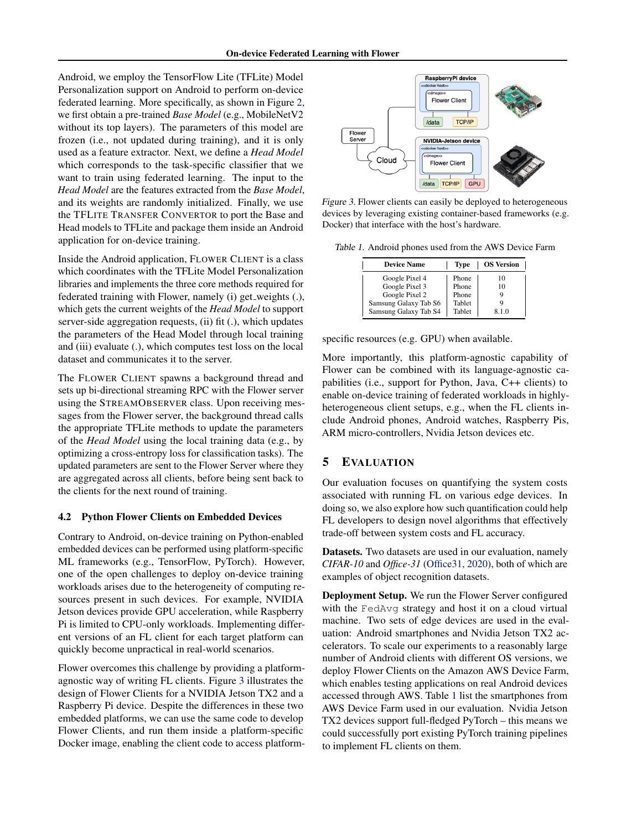Android, we employ the TensorFlow Lite (TFLite) Model Personalization support on Android to perform on-device federated learning. More specifically, as shown in Figure [2,](#page-1-0) we first obtain a pre-trained *Base Model* (e.g., MobileNetV2 without its top layers). The parameters of this model are frozen (i.e., not updated during training), and it is only used as a feature extractor. Next, we define a *Head Model* which corresponds to the task-specific classifier that we want to train using federated learning. The input to the *Head Model* are the features extracted from the *Base Model*, and its weights are randomly initialized. Finally, we use the TFLITE TRANSFER CONVERTOR to port the Base and Head models to TFLite and package them inside an Android application for on-device training.

Inside the Android application, FLOWER CLIENT is a class which coordinates with the TFLite Model Personalization libraries and implements the three core methods required for federated training with Flower, namely (i) get\_weights (.), which gets the current weights of the *Head Model* to support server-side aggregation requests, (ii) fit (.), which updates the parameters of the Head Model through local training and (iii) evaluate (.), which computes test loss on the local dataset and communicates it to the server.

The FLOWER CLIENT spawns a background thread and sets up bi-directional streaming RPC with the Flower server using the STREAMOBSERVER class. Upon receiving messages from the Flower server, the background thread calls the appropriate TFLite methods to update the parameters of the *Head Model* using the local training data (e.g., by optimizing a cross-entropy loss for classification tasks). The updated parameters are sent to the Flower Server where they are aggregated across all clients, before being sent back to the clients for the next round of training.

#### 4.2 Python Flower Clients on Embedded Devices

Contrary to Android, on-device training on Python-enabled embedded devices can be performed using platform-specific ML frameworks (e.g., TensorFlow, PyTorch). However, one of the open challenges to deploy on-device training workloads arises due to the heterogeneity of computing resources present in such devices. For example, NVIDIA Jetson devices provide GPU acceleration, while Raspberry Pi is limited to CPU-only workloads. Implementing different versions of an FL client for each target platform can quickly become unpractical in real-world scenarios.

Flower overcomes this challenge by providing a platformagnostic way of writing FL clients. Figure 3 illustrates the design of Flower Clients for a NVIDIA Jetson TX2 and a Raspberry Pi device. Despite the differences in these two embedded platforms, we can use the same code to develop Flower Clients, and run them inside a platform-specific Docker image, enabling the client code to access platform-



Figure 3. Flower clients can easily be deployed to heterogeneous devices by leveraging existing container-based frameworks (e.g. Docker) that interface with the host's hardware.

Table 1. Android phones used from the AWS Device Farm

| <b>Device Name</b>    | Type   | <b>OS Version</b> |
|-----------------------|--------|-------------------|
| Google Pixel 4        | Phone  | 10                |
| Google Pixel 3        | Phone  | 10                |
| Google Pixel 2        | Phone  |                   |
| Samsung Galaxy Tab S6 | Tablet |                   |
| Samsung Galaxy Tab S4 | Tablet | 810               |

specific resources (e.g. GPU) when available.

More importantly, this platform-agnostic capability of Flower can be combined with its language-agnostic capabilities (i.e., support for Python, Java, C++ clients) to enable on-device training of federated workloads in highlyheterogeneous client setups, e.g., when the FL clients include Android phones, Android watches, Raspberry Pis, ARM micro-controllers, Nvidia Jetson devices etc.

# 5 EVALUATION

Our evaluation focuses on quantifying the system costs associated with running FL on various edge devices. In doing so, we also explore how such quantification could help FL developers to design novel algorithms that effectively trade-off between system costs and FL accuracy.

Datasets. Two datasets are used in our evaluation, namely *CIFAR-10* and *Office-31* [\(Office31,](#page-4-0) [2020\)](#page-4-0), both of which are examples of object recognition datasets.

Deployment Setup. We run the Flower Server configured with the FedAvq strategy and host it on a cloud virtual machine. Two sets of edge devices are used in the evaluation: Android smartphones and Nvidia Jetson TX2 accelerators. To scale our experiments to a reasonably large number of Android clients with different OS versions, we deploy Flower Clients on the Amazon AWS Device Farm, which enables testing applications on real Android devices accessed through AWS. Table 1 list the smartphones from AWS Device Farm used in our evaluation. Nvidia Jetson TX2 devices support full-fledged PyTorch – this means we could successfully port existing PyTorch training pipelines to implement FL clients on them.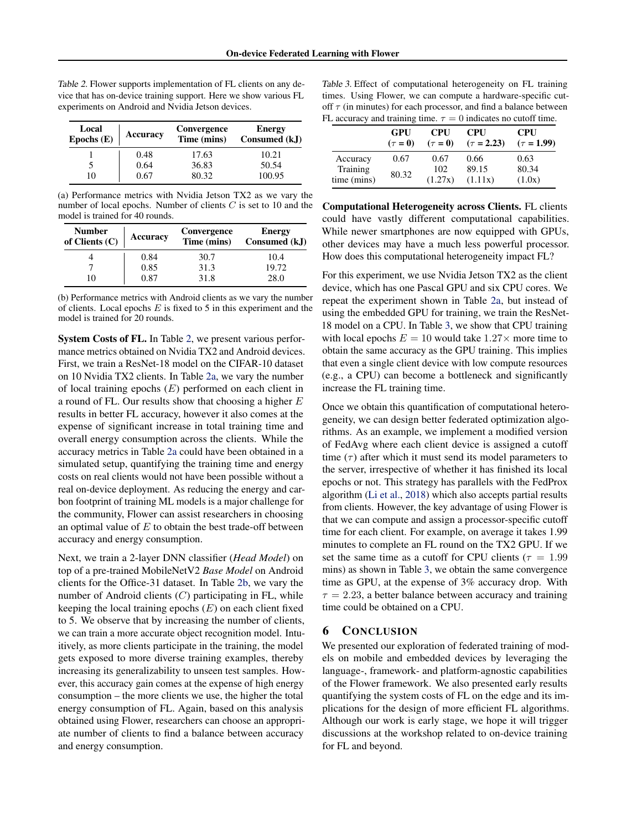Table 2. Flower supports implementation of FL clients on any device that has on-device training support. Here we show various FL experiments on Android and Nvidia Jetson devices.

| Local<br>Epochs $(E)$ | Accuracy | Convergence<br>Time (mins) | <b>Energy</b><br>Consumed (kJ) |
|-----------------------|----------|----------------------------|--------------------------------|
|                       | 0.48     | 17.63                      | 10.21                          |
|                       | 0.64     | 36.83                      | 50.54                          |
| 10                    | 0.67     | 80.32                      | 100.95                         |

(a) Performance metrics with Nvidia Jetson TX2 as we vary the number of local epochs. Number of clients  $C$  is set to 10 and the model is trained for 40 rounds.

| <b>Number</b><br>of Clients $(C)$ | Accuracy | Convergence<br>Time (mins) | <b>Energy</b><br>Consumed (kJ) |
|-----------------------------------|----------|----------------------------|--------------------------------|
|                                   | 0.84     | 30.7                       | 10.4                           |
|                                   | 0.85     | 31.3                       | 19.72                          |
| 10                                | 0.87     | 31.8                       | 28.0                           |

(b) Performance metrics with Android clients as we vary the number of clients. Local epochs  $E$  is fixed to 5 in this experiment and the model is trained for 20 rounds.

System Costs of FL. In Table 2, we present various performance metrics obtained on Nvidia TX2 and Android devices. First, we train a ResNet-18 model on the CIFAR-10 dataset on 10 Nvidia TX2 clients. In Table 2a, we vary the number of local training epochs  $(E)$  performed on each client in a round of FL. Our results show that choosing a higher E results in better FL accuracy, however it also comes at the expense of significant increase in total training time and overall energy consumption across the clients. While the accuracy metrics in Table 2a could have been obtained in a simulated setup, quantifying the training time and energy costs on real clients would not have been possible without a real on-device deployment. As reducing the energy and carbon footprint of training ML models is a major challenge for the community, Flower can assist researchers in choosing an optimal value of  $E$  to obtain the best trade-off between accuracy and energy consumption.

Next, we train a 2-layer DNN classifier (*Head Model*) on top of a pre-trained MobileNetV2 *Base Model* on Android clients for the Office-31 dataset. In Table 2b, we vary the number of Android clients  $(C)$  participating in FL, while keeping the local training epochs  $(E)$  on each client fixed to 5. We observe that by increasing the number of clients, we can train a more accurate object recognition model. Intuitively, as more clients participate in the training, the model gets exposed to more diverse training examples, thereby increasing its generalizability to unseen test samples. However, this accuracy gain comes at the expense of high energy consumption – the more clients we use, the higher the total energy consumption of FL. Again, based on this analysis obtained using Flower, researchers can choose an appropriate number of clients to find a balance between accuracy and energy consumption.

Table 3. Effect of computational heterogeneity on FL training times. Using Flower, we can compute a hardware-specific cutoff  $\tau$  (in minutes) for each processor, and find a balance between FL accuracy and training time.  $\tau = 0$  indicates no cutoff time.

|             | GPU          | <b>CPU</b>   | <b>CPU</b>      | <b>CPU</b>      |
|-------------|--------------|--------------|-----------------|-----------------|
|             | $(\tau = 0)$ | $(\tau = 0)$ | $(\tau = 2.23)$ | $(\tau = 1.99)$ |
| Accuracy    | 0.67         | 0.67         | 0.66            | 0.63            |
| Training    |              | 102          | 89.15           | 80.34           |
| time (mins) | 80.32        | (1.27x)      | (1.11x)         | (1.0x)          |

Computational Heterogeneity across Clients. FL clients could have vastly different computational capabilities. While newer smartphones are now equipped with GPUs, other devices may have a much less powerful processor. How does this computational heterogeneity impact FL?

For this experiment, we use Nvidia Jetson TX2 as the client device, which has one Pascal GPU and six CPU cores. We repeat the experiment shown in Table 2a, but instead of using the embedded GPU for training, we train the ResNet-18 model on a CPU. In Table 3, we show that CPU training with local epochs  $E = 10$  would take  $1.27 \times$  more time to obtain the same accuracy as the GPU training. This implies that even a single client device with low compute resources (e.g., a CPU) can become a bottleneck and significantly increase the FL training time.

Once we obtain this quantification of computational heterogeneity, we can design better federated optimization algorithms. As an example, we implement a modified version of FedAvg where each client device is assigned a cutoff time  $(\tau)$  after which it must send its model parameters to the server, irrespective of whether it has finished its local epochs or not. This strategy has parallels with the FedProx algorithm [\(Li et al.,](#page-4-0) [2018\)](#page-4-0) which also accepts partial results from clients. However, the key advantage of using Flower is that we can compute and assign a processor-specific cutoff time for each client. For example, on average it takes 1.99 minutes to complete an FL round on the TX2 GPU. If we set the same time as a cutoff for CPU clients ( $\tau = 1.99$ ) mins) as shown in Table 3, we obtain the same convergence time as GPU, at the expense of 3% accuracy drop. With  $\tau = 2.23$ , a better balance between accuracy and training time could be obtained on a CPU.

### 6 CONCLUSION

We presented our exploration of federated training of models on mobile and embedded devices by leveraging the language-, framework- and platform-agnostic capabilities of the Flower framework. We also presented early results quantifying the system costs of FL on the edge and its implications for the design of more efficient FL algorithms. Although our work is early stage, we hope it will trigger discussions at the workshop related to on-device training for FL and beyond.